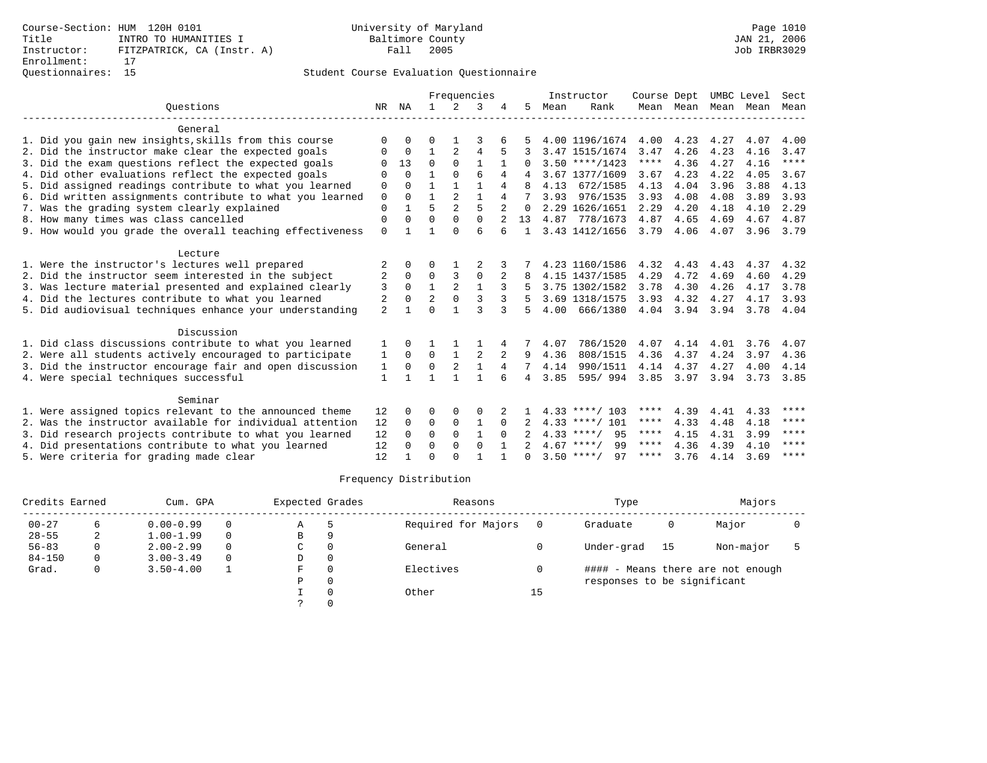# Student Course Evaluation Questionnaire

|                |                                                                                                                                                | Frequencies    |                |                |          |              |      |          | Course Dept                                                                                                                                                                                                                                                           |                                                                      |                      |                                           | Sect                                       |
|----------------|------------------------------------------------------------------------------------------------------------------------------------------------|----------------|----------------|----------------|----------|--------------|------|----------|-----------------------------------------------------------------------------------------------------------------------------------------------------------------------------------------------------------------------------------------------------------------------|----------------------------------------------------------------------|----------------------|-------------------------------------------|--------------------------------------------|
| NR             | ΝA                                                                                                                                             | $\mathbf{1}$   | $\mathfrak{D}$ | 3              |          | 5            | Mean | Rank     |                                                                                                                                                                                                                                                                       |                                                                      | Mean                 | Mean                                      | Mean                                       |
|                |                                                                                                                                                |                |                |                |          |              |      |          |                                                                                                                                                                                                                                                                       |                                                                      |                      |                                           |                                            |
| $\Omega$       | $\Omega$                                                                                                                                       | O              |                | 3              |          |              |      |          | 4.00                                                                                                                                                                                                                                                                  | 4.23                                                                 | 4.27                 | 4.07                                      | 4.00                                       |
| O              | $\Omega$                                                                                                                                       | 1              | $\overline{2}$ | 4              |          |              |      |          | 3.47                                                                                                                                                                                                                                                                  | 4.26                                                                 | 4.23                 | 4.16                                      | 3.47                                       |
|                | 13                                                                                                                                             | $\Omega$       | $\Omega$       | $\mathbf{1}$   |          | 0            |      |          | $***$ * *                                                                                                                                                                                                                                                             | 4.36                                                                 | 4.27                 | 4.16                                      | $***$ * * *                                |
| O              | $\Omega$                                                                                                                                       | $\mathbf{1}$   | $\Omega$       | 6              | 4        |              |      |          | 3.67                                                                                                                                                                                                                                                                  | 4.23                                                                 | 4.22                 | 4.05                                      | 3.67                                       |
| $\mathbf 0$    | $\Omega$                                                                                                                                       | $\mathbf{1}$   | $\mathbf{1}$   | $\mathbf{1}$   | 4        | 8            | 4.13 | 672/1585 | 4.13                                                                                                                                                                                                                                                                  | 4.04                                                                 | 3.96                 | 3.88                                      | 4.13                                       |
| $\mathbf 0$    | $\Omega$                                                                                                                                       | $\mathbf{1}$   | $\overline{a}$ | $\mathbf{1}$   | 4        |              | 3.93 | 976/1535 | 3.93                                                                                                                                                                                                                                                                  | 4.08                                                                 | 4.08                 | 3.89                                      | 3.93                                       |
| $\mathbf 0$    |                                                                                                                                                | 5              | $\overline{2}$ | 5              |          | $\Omega$     |      |          | 2.29                                                                                                                                                                                                                                                                  | 4.20                                                                 | 4.18                 | 4.10                                      | 2.29                                       |
| 0              | $\Omega$                                                                                                                                       | $\Omega$       | $\Omega$       | $\Omega$       |          | 13           |      |          | 4.87                                                                                                                                                                                                                                                                  | 4.65                                                                 | 4.69                 | 4.67                                      | 4.87                                       |
| $\mathbf{0}$   |                                                                                                                                                |                | $\Omega$       | 6              | б        |              |      |          | 3.79                                                                                                                                                                                                                                                                  | 4.06                                                                 | 4.07                 | 3.96                                      | 3.79                                       |
|                |                                                                                                                                                |                |                |                |          |              |      |          |                                                                                                                                                                                                                                                                       |                                                                      |                      |                                           |                                            |
|                | $\Omega$                                                                                                                                       | $\Omega$       |                |                |          |              |      |          | 4.32                                                                                                                                                                                                                                                                  | 4.43                                                                 | 4.43                 | 4.37                                      | 4.32                                       |
| 2              | $\Omega$                                                                                                                                       | $\Omega$       | 3              | 0              |          |              |      |          | 4.29                                                                                                                                                                                                                                                                  | 4.72                                                                 | 4.69                 | 4.60                                      | 4.29                                       |
| 3              | $\Omega$                                                                                                                                       | $\mathbf{1}$   | 2              | $\mathbf{1}$   | 3        |              |      |          | 3.78                                                                                                                                                                                                                                                                  | 4.30                                                                 | 4.26                 | 4.17                                      | 3.78                                       |
| 2              | $\Omega$                                                                                                                                       | $\overline{2}$ | $\Omega$       | 3              | 3        |              |      |          | 3.93                                                                                                                                                                                                                                                                  | 4.32                                                                 | 4.27                 | 4.17                                      | 3.93                                       |
| $\overline{a}$ | 1                                                                                                                                              | $\Omega$       |                | ς              | 3        | 5            | 4.00 |          | 4.04                                                                                                                                                                                                                                                                  |                                                                      | 3.94                 | 3.78                                      | 4.04                                       |
|                |                                                                                                                                                |                |                |                |          |              |      |          |                                                                                                                                                                                                                                                                       |                                                                      |                      |                                           |                                            |
| 1              | <sup>n</sup>                                                                                                                                   |                |                |                | 4        |              | 4.07 |          | 4.07                                                                                                                                                                                                                                                                  | 4.14                                                                 | 4.01                 | 3.76                                      | 4.07                                       |
| 1              | $\Omega$                                                                                                                                       | $\Omega$       | $\mathbf{1}$   | $\overline{2}$ | 2        | 9            | 4.36 | 808/1515 | 4.36                                                                                                                                                                                                                                                                  | 4.37                                                                 | 4.24                 | 3.97                                      | 4.36                                       |
| $\mathbf{1}$   | $\mathbf 0$                                                                                                                                    | $\Omega$       | 2              | $\mathbf{1}$   | 4        | 7            | 4.14 |          | 4.14                                                                                                                                                                                                                                                                  | 4.37                                                                 | 4.27                 | 4.00                                      | 4.14                                       |
| 1              |                                                                                                                                                |                |                | $\mathbf{1}$   | 6        | 4            | 3.85 | 595/994  | 3.85                                                                                                                                                                                                                                                                  | 3.97                                                                 | 3.94                 | 3.73                                      | 3.85                                       |
|                |                                                                                                                                                |                |                |                |          |              |      |          |                                                                                                                                                                                                                                                                       |                                                                      |                      |                                           |                                            |
|                | $\Omega$                                                                                                                                       | O              | $\Omega$       | O              |          |              |      |          | ****                                                                                                                                                                                                                                                                  |                                                                      |                      |                                           | ****                                       |
|                | $\Omega$                                                                                                                                       |                |                |                | $\Omega$ |              |      |          | ****                                                                                                                                                                                                                                                                  |                                                                      |                      |                                           | ****                                       |
|                | $\Omega$                                                                                                                                       | $\Omega$       | $\Omega$       | $\mathbf{1}$   | $\Omega$ |              |      | 95       | ****                                                                                                                                                                                                                                                                  | 4.15                                                                 |                      |                                           | $* * * *$                                  |
|                | O                                                                                                                                              | $\Omega$       | $\Omega$       | $\Omega$       |          |              |      | 99       | $***$ * *                                                                                                                                                                                                                                                             | 4.36                                                                 |                      |                                           | ****                                       |
| 12             |                                                                                                                                                | $\Omega$       | $\cap$         |                |          | <sup>n</sup> |      | 97       | ****                                                                                                                                                                                                                                                                  | 3.76                                                                 | 4.14                 | 3.69                                      | $***$ * * *                                |
|                | 6. Did written assignments contribute to what you learned<br>9. How would you grade the overall teaching effectiveness<br>12<br>12<br>12<br>12 |                | 0              | $\mathbf 0$    | 1        |              |      |          | Instructor<br>3.47 1515/1674<br>$3.50$ ****/1423<br>3.67 1377/1609<br>2.29 1626/1651<br>4.87 778/1673<br>3.43 1412/1656<br>4.15 1437/1585<br>3.75 1302/1582<br>3.69 1318/1575<br>$4.33$ ****/ 103<br>$4.33$ ****/ 101<br>$4.33$ ****/<br>$4.67$ ****/<br>$3.50$ ****/ | 4.00 1196/1674<br>4.23 1160/1586<br>666/1380<br>786/1520<br>990/1511 | 3.94<br>4.39<br>4.33 | Mean Mean<br>4.41<br>4.48<br>4.31<br>4.39 | UMBC Level<br>4.33<br>4.18<br>3.99<br>4.10 |

# Frequency Distribution

| Credits Earned<br>Cum. GPA |    |               |   | Expected Grades |          | Reasons             |    | Type                        | Majors |                                   |  |
|----------------------------|----|---------------|---|-----------------|----------|---------------------|----|-----------------------------|--------|-----------------------------------|--|
| $00 - 27$                  | 6. | $0.00 - 0.99$ |   | Α               | ל        | Required for Majors |    | Graduate                    | 0      | Major                             |  |
| $28 - 55$                  | 2  | $1.00 - 1.99$ | 0 | В               | 9        |                     |    |                             |        |                                   |  |
| $56 - 83$                  | 0  | $2.00 - 2.99$ | 0 | C.              | 0        | General             |    | Under-grad                  | 15     | Non-major                         |  |
| $84 - 150$                 |    | $3.00 - 3.49$ |   | D               | 0        |                     |    |                             |        |                                   |  |
| Grad.                      | 0  | $3.50 - 4.00$ |   | F               | $\Omega$ | Electives           |    |                             |        | #### - Means there are not enough |  |
|                            |    |               |   | Ρ               | 0        |                     |    | responses to be significant |        |                                   |  |
|                            |    |               |   |                 | $\Omega$ | Other               | 15 |                             |        |                                   |  |
|                            |    |               |   |                 |          |                     |    |                             |        |                                   |  |